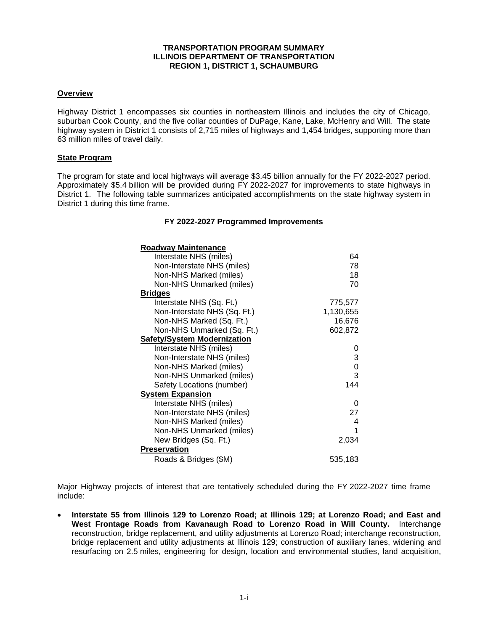## **TRANSPORTATION PROGRAM SUMMARY ILLINOIS DEPARTMENT OF TRANSPORTATION REGION 1, DISTRICT 1, SCHAUMBURG**

## **Overview**

Highway District 1 encompasses six counties in northeastern Illinois and includes the city of Chicago, suburban Cook County, and the five collar counties of DuPage, Kane, Lake, McHenry and Will. The state highway system in District 1 consists of 2,715 miles of highways and 1,454 bridges, supporting more than 63 million miles of travel daily.

## **State Program**

The program for state and local highways will average \$3.45 billion annually for the FY 2022-2027 period. Approximately \$5.4 billion will be provided during FY 2022-2027 for improvements to state highways in District 1. The following table summarizes anticipated accomplishments on the state highway system in District 1 during this time frame.

## **FY 2022-2027 Programmed Improvements**

| <b>Roadway Maintenance</b>         |             |
|------------------------------------|-------------|
| Interstate NHS (miles)             | 64          |
| Non-Interstate NHS (miles)         | 78          |
| Non-NHS Marked (miles)             | 18          |
| Non-NHS Unmarked (miles)           | 70          |
| <b>Bridges</b>                     |             |
| Interstate NHS (Sq. Ft.)           | 775,577     |
| Non-Interstate NHS (Sq. Ft.)       | 1,130,655   |
| Non-NHS Marked (Sq. Ft.)           | 16,676      |
| Non-NHS Unmarked (Sq. Ft.)         | 602,872     |
| <b>Safety/System Modernization</b> |             |
| Interstate NHS (miles)             | O           |
| Non-Interstate NHS (miles)         | 3           |
| Non-NHS Marked (miles)             | $\mathbf 0$ |
| Non-NHS Unmarked (miles)           | 3           |
| Safety Locations (number)          | 144         |
| <b>System Expansion</b>            |             |
| Interstate NHS (miles)             | 0           |
| Non-Interstate NHS (miles)         | 27          |
| Non-NHS Marked (miles)             | 4           |
| Non-NHS Unmarked (miles)           | 1           |
| New Bridges (Sq. Ft.)              | 2,034       |
| <b>Preservation</b>                |             |
| Roads & Bridges (\$M)              | 535,183     |

Major Highway projects of interest that are tentatively scheduled during the FY 2022-2027 time frame include:

• **Interstate 55 from Illinois 129 to Lorenzo Road; at Illinois 129; at Lorenzo Road; and East and West Frontage Roads from Kavanaugh Road to Lorenzo Road in Will County.** Interchange reconstruction, bridge replacement, and utility adjustments at Lorenzo Road; interchange reconstruction, bridge replacement and utility adjustments at Illinois 129; construction of auxiliary lanes, widening and resurfacing on 2.5 miles, engineering for design, location and environmental studies, land acquisition,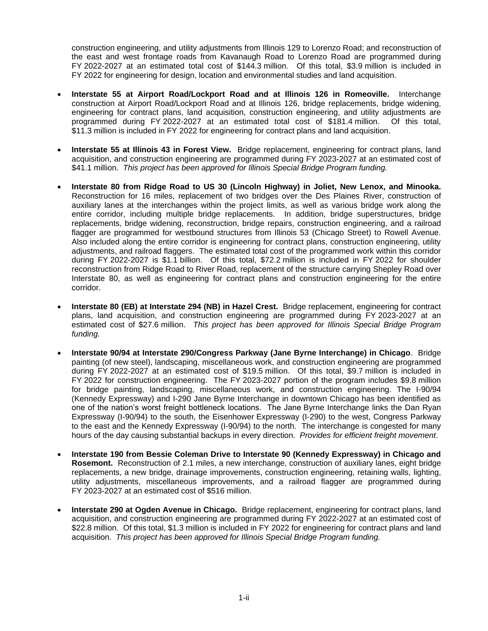construction engineering, and utility adjustments from Illinois 129 to Lorenzo Road; and reconstruction of the east and west frontage roads from Kavanaugh Road to Lorenzo Road are programmed during FY 2022-2027 at an estimated total cost of \$144.3 million. Of this total, \$3.9 million is included in FY 2022 for engineering for design, location and environmental studies and land acquisition.

- **Interstate 55 at Airport Road/Lockport Road and at Illinois 126 in Romeoville.** Interchange construction at Airport Road/Lockport Road and at Illinois 126, bridge replacements, bridge widening, engineering for contract plans, land acquisition, construction engineering, and utility adjustments are programmed during FY 2022-2027 at an estimated total cost of \$181.4 million. Of this total, \$11.3 million is included in FY 2022 for engineering for contract plans and land acquisition.
- **Interstate 55 at Illinois 43 in Forest View.** Bridge replacement, engineering for contract plans, land acquisition, and construction engineering are programmed during FY 2023-2027 at an estimated cost of \$41.1 million. *This project has been approved for Illinois Special Bridge Program funding.*
- **Interstate 80 from Ridge Road to US 30 (Lincoln Highway) in Joliet, New Lenox, and Minooka.** Reconstruction for 16 miles, replacement of two bridges over the Des Plaines River, construction of auxiliary lanes at the interchanges within the project limits, as well as various bridge work along the entire corridor, including multiple bridge replacements. In addition, bridge superstructures, bridge replacements, bridge widening, reconstruction, bridge repairs, construction engineering, and a railroad flagger are programmed for westbound structures from Illinois 53 (Chicago Street) to Rowell Avenue. Also included along the entire corridor is engineering for contract plans, construction engineering, utility adjustments, and railroad flaggers. The estimated total cost of the programmed work within this corridor during FY 2022-2027 is \$1.1 billion. Of this total, \$72.2 million is included in FY 2022 for shoulder reconstruction from Ridge Road to River Road, replacement of the structure carrying Shepley Road over Interstate 80, as well as engineering for contract plans and construction engineering for the entire corridor.
- **Interstate 80 (EB) at Interstate 294 (NB) in Hazel Crest.** Bridge replacement, engineering for contract plans, land acquisition, and construction engineering are programmed during FY 2023-2027 at an estimated cost of \$27.6 million. *This project has been approved for Illinois Special Bridge Program funding.*
- **Interstate 90/94 at Interstate 290/Congress Parkway (Jane Byrne Interchange) in Chicago**. Bridge painting (of new steel), landscaping, miscellaneous work, and construction engineering are programmed during FY 2022-2027 at an estimated cost of \$19.5 million. Of this total, \$9.7 million is included in FY 2022 for construction engineering. The FY 2023-2027 portion of the program includes \$9.8 million for bridge painting, landscaping, miscellaneous work, and construction engineering. The I-90/94 (Kennedy Expressway) and I-290 Jane Byrne Interchange in downtown Chicago has been identified as one of the nation's worst freight bottleneck locations. The Jane Byrne Interchange links the Dan Ryan Expressway (I-90/94) to the south, the Eisenhower Expressway (I-290) to the west, Congress Parkway to the east and the Kennedy Expressway (I-90/94) to the north. The interchange is congested for many hours of the day causing substantial backups in every direction. *Provides for efficient freight movement*.
- **Interstate 190 from Bessie Coleman Drive to Interstate 90 (Kennedy Expressway) in Chicago and Rosemont.** Reconstruction of 2.1 miles, a new interchange, construction of auxiliary lanes, eight bridge replacements, a new bridge, drainage improvements, construction engineering, retaining walls, lighting, utility adjustments, miscellaneous improvements, and a railroad flagger are programmed during FY 2023-2027 at an estimated cost of \$516 million.
- **Interstate 290 at Ogden Avenue in Chicago.** Bridge replacement, engineering for contract plans, land acquisition, and construction engineering are programmed during FY 2022-2027 at an estimated cost of \$22.8 million. Of this total, \$1.3 million is included in FY 2022 for engineering for contract plans and land acquisition. *This project has been approved for Illinois Special Bridge Program funding.*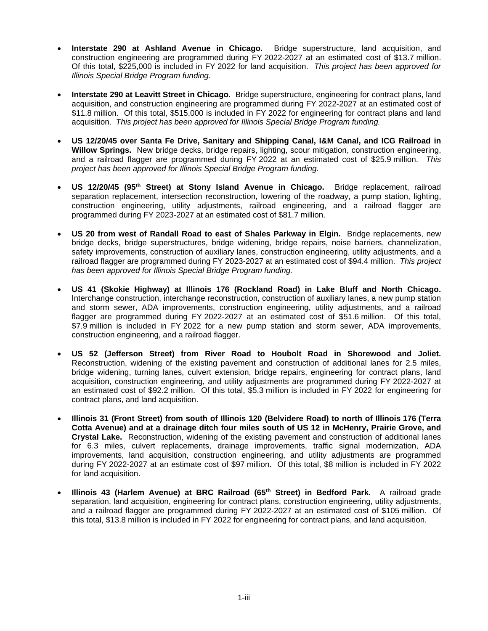- **Interstate 290 at Ashland Avenue in Chicago.** Bridge superstructure, land acquisition, and construction engineering are programmed during FY 2022-2027 at an estimated cost of \$13.7 million. Of this total, \$225,000 is included in FY 2022 for land acquisition. *This project has been approved for Illinois Special Bridge Program funding.*
- **Interstate 290 at Leavitt Street in Chicago.** Bridge superstructure, engineering for contract plans, land acquisition, and construction engineering are programmed during FY 2022-2027 at an estimated cost of \$11.8 million. Of this total, \$515,000 is included in FY 2022 for engineering for contract plans and land acquisition. *This project has been approved for Illinois Special Bridge Program funding.*
- **US 12/20/45 over Santa Fe Drive, Sanitary and Shipping Canal, I&M Canal, and ICG Railroad in Willow Springs.** New bridge decks, bridge repairs, lighting, scour mitigation, construction engineering, and a railroad flagger are programmed during FY 2022 at an estimated cost of \$25.9 million. *This project has been approved for Illinois Special Bridge Program funding.*
- **US 12/20/45 (95th Street) at Stony Island Avenue in Chicago.** Bridge replacement, railroad separation replacement, intersection reconstruction, lowering of the roadway, a pump station, lighting, construction engineering, utility adjustments, railroad engineering, and a railroad flagger are programmed during FY 2023-2027 at an estimated cost of \$81.7 million.
- **US 20 from west of Randall Road to east of Shales Parkway in Elgin.** Bridge replacements, new bridge decks, bridge superstructures, bridge widening, bridge repairs, noise barriers, channelization, safety improvements, construction of auxiliary lanes, construction engineering, utility adjustments, and a railroad flagger are programmed during FY 2023-2027 at an estimated cost of \$94.4 million. *This project has been approved for Illinois Special Bridge Program funding.*
- **US 41 (Skokie Highway) at Illinois 176 (Rockland Road) in Lake Bluff and North Chicago.** Interchange construction, interchange reconstruction, construction of auxiliary lanes, a new pump station and storm sewer, ADA improvements, construction engineering, utility adjustments, and a railroad flagger are programmed during FY 2022-2027 at an estimated cost of \$51.6 million. Of this total, \$7.9 million is included in FY 2022 for a new pump station and storm sewer, ADA improvements, construction engineering, and a railroad flagger.
- **US 52 (Jefferson Street) from River Road to Houbolt Road in Shorewood and Joliet.** Reconstruction, widening of the existing pavement and construction of additional lanes for 2.5 miles, bridge widening, turning lanes, culvert extension, bridge repairs, engineering for contract plans, land acquisition, construction engineering, and utility adjustments are programmed during FY 2022-2027 at an estimated cost of \$92.2 million. Of this total, \$5.3 million is included in FY 2022 for engineering for contract plans, and land acquisition.
- **Illinois 31 (Front Street) from south of Illinois 120 (Belvidere Road) to north of Illinois 176 (Terra Cotta Avenue) and at a drainage ditch four miles south of US 12 in McHenry, Prairie Grove, and Crystal Lake.** Reconstruction, widening of the existing pavement and construction of additional lanes for 6.3 miles, culvert replacements, drainage improvements, traffic signal modernization, ADA improvements, land acquisition, construction engineering, and utility adjustments are programmed during FY 2022-2027 at an estimate cost of \$97 million. Of this total, \$8 million is included in FY 2022 for land acquisition.
- **Illinois 43 (Harlem Avenue) at BRC Railroad (65th Street) in Bedford Park**. A railroad grade separation, land acquisition, engineering for contract plans, construction engineering, utility adjustments, and a railroad flagger are programmed during FY 2022-2027 at an estimated cost of \$105 million. Of this total, \$13.8 million is included in FY 2022 for engineering for contract plans, and land acquisition.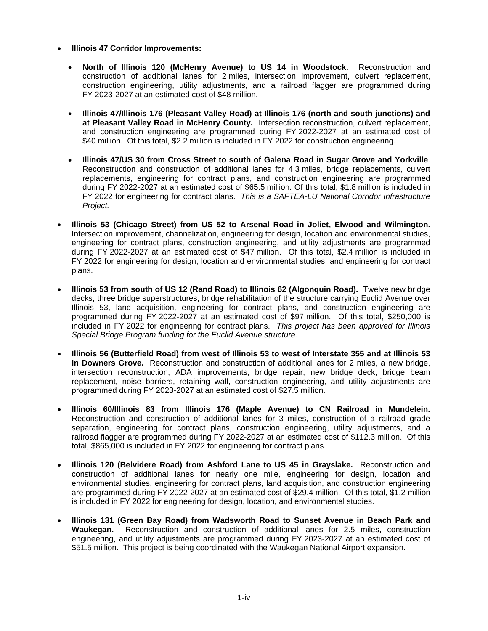- **Illinois 47 Corridor Improvements:** 
	- **North of Illinois 120 (McHenry Avenue) to US 14 in Woodstock.** Reconstruction and construction of additional lanes for 2 miles, intersection improvement, culvert replacement, construction engineering, utility adjustments, and a railroad flagger are programmed during FY 2023-2027 at an estimated cost of \$48 million.
	- **Illinois 47/Illinois 176 (Pleasant Valley Road) at Illinois 176 (north and south junctions) and at Pleasant Valley Road in McHenry County.** Intersection reconstruction, culvert replacement, and construction engineering are programmed during FY 2022-2027 at an estimated cost of \$40 million. Of this total, \$2.2 million is included in FY 2022 for construction engineering.
	- **Illinois 47/US 30 from Cross Street to south of Galena Road in Sugar Grove and Yorkville**. Reconstruction and construction of additional lanes for 4.3 miles, bridge replacements, culvert replacements, engineering for contract plans, and construction engineering are programmed during FY 2022-2027 at an estimated cost of \$65.5 million. Of this total, \$1.8 million is included in FY 2022 for engineering for contract plans. *This is a SAFTEA-LU National Corridor Infrastructure Project.*
- **Illinois 53 (Chicago Street) from US 52 to Arsenal Road in Joliet, Elwood and Wilmington.** Intersection improvement, channelization, engineering for design, location and environmental studies, engineering for contract plans, construction engineering, and utility adjustments are programmed during FY 2022-2027 at an estimated cost of \$47 million. Of this total, \$2.4 million is included in FY 2022 for engineering for design, location and environmental studies, and engineering for contract plans.
- **Illinois 53 from south of US 12 (Rand Road) to Illinois 62 (Algonquin Road).** Twelve new bridge decks, three bridge superstructures, bridge rehabilitation of the structure carrying Euclid Avenue over Illinois 53, land acquisition, engineering for contract plans, and construction engineering are programmed during FY 2022-2027 at an estimated cost of \$97 million. Of this total, \$250,000 is included in FY 2022 for engineering for contract plans. *This project has been approved for Illinois Special Bridge Program funding for the Euclid Avenue structure.*
- **Illinois 56 (Butterfield Road) from west of Illinois 53 to west of Interstate 355 and at Illinois 53 in Downers Grove.** Reconstruction and construction of additional lanes for 2 miles, a new bridge, intersection reconstruction, ADA improvements, bridge repair, new bridge deck, bridge beam replacement, noise barriers, retaining wall, construction engineering, and utility adjustments are programmed during FY 2023-2027 at an estimated cost of \$27.5 million.
- **Illinois 60/Illinois 83 from Illinois 176 (Maple Avenue) to CN Railroad in Mundelein.** Reconstruction and construction of additional lanes for 3 miles, construction of a railroad grade separation, engineering for contract plans, construction engineering, utility adjustments, and a railroad flagger are programmed during FY 2022-2027 at an estimated cost of \$112.3 million. Of this total, \$865,000 is included in FY 2022 for engineering for contract plans.
- **Illinois 120 (Belvidere Road) from Ashford Lane to US 45 in Grayslake.** Reconstruction and construction of additional lanes for nearly one mile, engineering for design, location and environmental studies, engineering for contract plans, land acquisition, and construction engineering are programmed during FY 2022-2027 at an estimated cost of \$29.4 million. Of this total, \$1.2 million is included in FY 2022 for engineering for design, location, and environmental studies.
- **Illinois 131 (Green Bay Road) from Wadsworth Road to Sunset Avenue in Beach Park and Waukegan.** Reconstruction and construction of additional lanes for 2.5 miles, construction engineering, and utility adjustments are programmed during FY 2023-2027 at an estimated cost of \$51.5 million. This project is being coordinated with the Waukegan National Airport expansion.